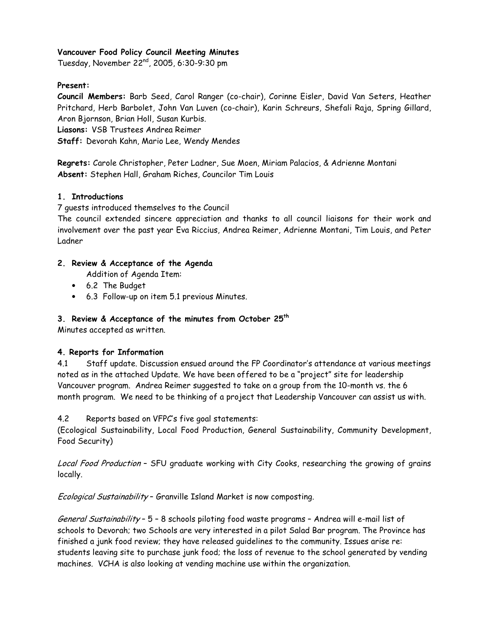### Vancouver Food Policy Council Meeting Minutes

Tuesday, November 22<sup>nd</sup>, 2005, 6:30-9:30 pm

### Present:

Council Members: Barb Seed, Carol Ranger (co-chair), Corinne Eisler, David Van Seters, Heather Pritchard, Herb Barbolet, John Van Luven (co-chair), Karin Schreurs, Shefali Raja, Spring Gillard, Aron Bjornson, Brian Holl, Susan Kurbis.

Liasons: VSB Trustees Andrea Reimer

Staff: Devorah Kahn, Mario Lee, Wendy Mendes

Regrets: Carole Christopher, Peter Ladner, Sue Moen, Miriam Palacios, & Adrienne Montani Absent: Stephen Hall, Graham Riches, Councilor Tim Louis

### 1 Introductions

7 quests introduced themselves to the Council

The council extended sincere appreciation and thanks to all council liaisons for their work and involvement over the past year Eva Riccius, Andrea Reimer, Adrienne Montani, Tim Louis, and Peter Ladner

### 2. Review & Acceptance of the Agenda

- Addition of Agenda Item:
- 6.2 The Budget
- 6.3 Follow-up on item 5.1 previous Minutes.

### 3. Review & Acceptance of the minutes from October 25<sup>th</sup>

Minutes accepted as written.

### 4. Reports for Information

 $4.1$ Staff update. Discussion ensued around the FP Coordinator's attendance at various meetings noted as in the attached Update. We have been offered to be a "project" site for leadership Vancouver program. Andrea Reimer suggested to take on a group from the 10-month vs. the 6 month program. We need to be thinking of a project that Leadership Vancouver can assist us with.

#### Reports based on VFPC's five goal statements: 4.2

(Ecological Sustainability, Local Food Production, General Sustainability, Community Development, Food Security)

Local Food Production - SFU graduate working with City Cooks, researching the growing of grains locally.

Ecological Sustainability - Granville Island Market is now composting.

General Sustainability - 5 - 8 schools piloting food waste programs - Andrea will e-mail list of schools to Devorah; two Schools are very interested in a pilot Salad Bar program. The Province has finished a junk food review; they have released guidelines to the community. Issues arise re: students leaving site to purchase junk food; the loss of revenue to the school generated by vending machines. VCHA is also looking at vending machine use within the organization.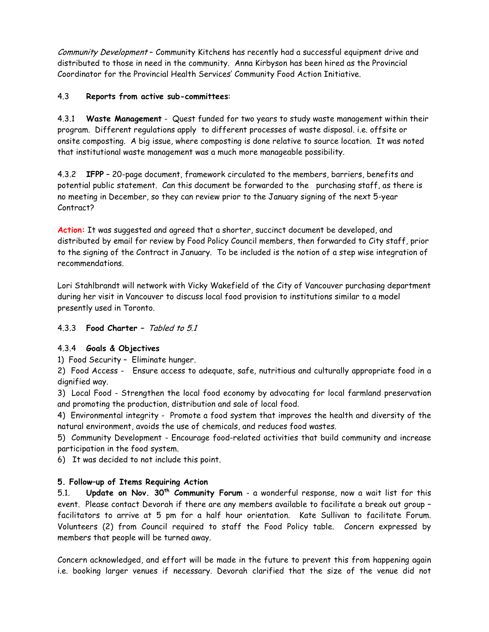Community Development - Community Kitchens has recently had a successful equipment drive and distributed to those in need in the community. Anna Kirbyson has been hired as the Provincial Coordinator for the Provincial Health Services' Community Food Action Initiative.

#### $4.3$ Reports from active sub-committees:

4.3.1 Waste Management - Quest funded for two years to study waste management within their program. Different regulations apply to different processes of waste disposal. i.e. offsite or onsite composting. A big issue, where composting is done relative to source location. It was noted that institutional waste management was a much more manageable possibility.

4.3.2 IFPP - 20-page document, framework circulated to the members, barriers, benefits and potential public statement. Can this document be forwarded to the purchasing staff, as there is no meeting in December, so they can review prior to the January signing of the next 5-year Contract?

Action: It was suggested and agreed that a shorter, succinct document be developed, and distributed by email for review by Food Policy Council members, then forwarded to City staff, prior to the signing of the Contract in January. To be included is the notion of a step wise integration of recommendations.

Lori Stahlbrandt will network with Vicky Wakefield of the City of Vancouver purchasing department during her visit in Vancouver to discuss local food provision to institutions similar to a model presently used in Toronto.

# 4.3.3 Food Charter - Tabled to 5.1

# 4.3.4 Goals & Objectives

1) Food Security - Eliminate hunger.

2) Food Access - Ensure access to adequate, safe, nutritious and culturally appropriate food in a dignified way.

3) Local Food - Strengthen the local food economy by advocating for local farmland preservation and promoting the production, distribution and sale of local food.

4) Environmental integrity - Promote a food system that improves the health and diversity of the natural environment, avoids the use of chemicals, and reduces food wastes.

5) Community Development - Encourage food-related activities that build community and increase participation in the food system.

6) It was decided to not include this point.

## 5. Follow-up of Items Requiring Action

Update on Nov. 30<sup>th</sup> Community Forum - a wonderful response, now a wait list for this  $5.1$ event. Please contact Devorah if there are any members available to facilitate a break out group facilitators to arrive at 5 pm for a half hour orientation. Kate Sullivan to facilitate Forum. Volunteers (2) from Council required to staff the Food Policy table. Concern expressed by members that people will be turned away.

Concern acknowledged, and effort will be made in the future to prevent this from happening again i.e. booking larger venues if necessary. Devorah clarified that the size of the venue did not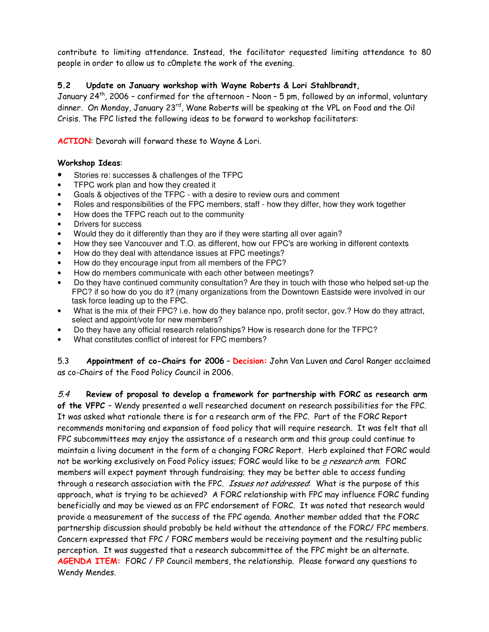contribute to limiting attendance. Instead, the facilitator requested limiting attendance to 8C people in order to allow us to c0mplete the work of the evening.

# 5.2 Update on January workshop with Wayne Roberts & Lori Stahlbrandt,

January 24<sup>th</sup>, 2006 – confirmed for the afternoon – Noon – 5 pm, followed by an informal, voluntary dinner. On Monday, January 23<sup>rd</sup>, Wane Roberts will be speaking at the VPL on Food and the Oil Crisis. The FPC listed the following ideas to be forward to workshop facilitators:

ACTION: Devorah will forward these to Wayne & Lori.

## Workshop Ideas:

- Stories re: successes & challenges of the TFPC
- TFPC work plan and how they created it
- Goals & objectives of the TFPC with a desire to review ours and comment
- Roles and responsibilities of the FPC members, staff how they differ, how they work together
- How does the TFPC reach out to the community
- Drivers for success
- Would they do it differently than they are if they were starting all over again?
- How they see Vancouver and T.O. as different, how our FPC's are working in different contexts
- How do they deal with attendance issues at FPC meetings?
- How do they encourage input from all members of the FPC?
- How do members communicate with each other between meetings?
- Do they have continued community consultation? Are they in touch with those who helped set-up the FPC? if so how do you do it? (many organizations from the Downtown Eastside were involved in our task force leading up to the FPC.
- What is the mix of their FPC? i.e. how do they balance npo, profit sector, gov.? How do they attract, select and appoint/vote for new members?
- Do they have any official research relationships? How is research done for the TFPC?
- What constitutes conflict of interest for FPC members?

5.3 **Appointment of co-Chairs for 2006 – Decision:** John Van Luven and Carol Ranger acclaimed as co-Chairs of the Food Policy Council in 2006.

 $\it 5.4$   $\;$  Review of proposal to develop a framework for partnership with FORC as research arn **of the VFPC -** Wendy presented a well researched document on research possibilities for the FPC. It was asked what rationale there is for a research arm of the FPC. Part of the FORC Report recommends monitoring and expansion of food policy that will require research. It was felt that all FPC subcommittees may enjoy the assistance of a research arm and this group could continue to maintain a living document in the form of a changing FORC Report. Herb explained that FORC would not be working exclusively on Food Policy issues; FORC would like to be <u>a</u> *research arm*. FORC members will expect payment through fundraising; they may be better able to access funding through a research association with the FPC. *Issues not addressed*: What is the purpose of this approach, what is trying to be achieved? A FORC relationship with FPC may influence FORC funding beneficially and may be viewed as an FPC endorsement of FORC. It was noted that research would provide a measurement of the success of the FPC agenda. Another member added that the FORC partnership discussion should probably be held without the attendance of the FORC/ FPC members. Concern expressed that FPC / FORC members would be receiving payment and the resulting public perception. It was suggested that a research subcommittee of the FPC might be an alternate.  $\overline{A}\overline{G}$ ENDA ITEM: FORC / FP Council members, the relationship. Please forward any questions to Wendy Mendes.